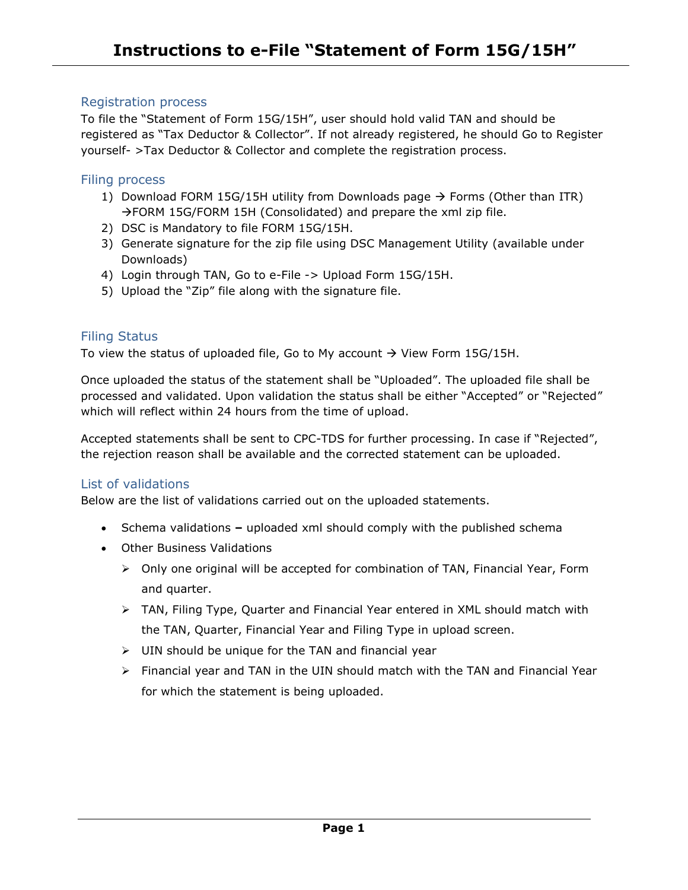# Registration process

To file the "Statement of Form 15G/15H", user should hold valid TAN and should be registered as "Tax Deductor & Collector". If not already registered, he should Go to Register yourself- >Tax Deductor & Collector and complete the registration process.

# Filing process

- 1) Download FORM 15G/15H utility from Downloads page  $\rightarrow$  Forms (Other than ITR)  $\rightarrow$  FORM 15G/FORM 15H (Consolidated) and prepare the xml zip file.
- 2) DSC is Mandatory to file FORM 15G/15H.
- 3) Generate signature for the zip file using DSC Management Utility (available under Downloads)
- 4) Login through TAN, Go to e-File -> Upload Form 15G/15H.
- 5) Upload the "Zip" file along with the signature file.

# Filing Status

To view the status of uploaded file, Go to My account  $\rightarrow$  View Form 15G/15H.

Once uploaded the status of the statement shall be "Uploaded". The uploaded file shall be processed and validated. Upon validation the status shall be either "Accepted" or "Rejected" which will reflect within 24 hours from the time of upload.

Accepted statements shall be sent to CPC-TDS for further processing. In case if "Rejected", the rejection reason shall be available and the corrected statement can be uploaded.

# List of validations

Below are the list of validations carried out on the uploaded statements.

- Schema validations **–** uploaded xml should comply with the published schema
- Other Business Validations
	- Only one original will be accepted for combination of TAN, Financial Year, Form and quarter.
	- $\triangleright$  TAN, Filing Type, Quarter and Financial Year entered in XML should match with the TAN, Quarter, Financial Year and Filing Type in upload screen.
	- $\triangleright$  UIN should be unique for the TAN and financial year
	- $\triangleright$  Financial year and TAN in the UIN should match with the TAN and Financial Year for which the statement is being uploaded.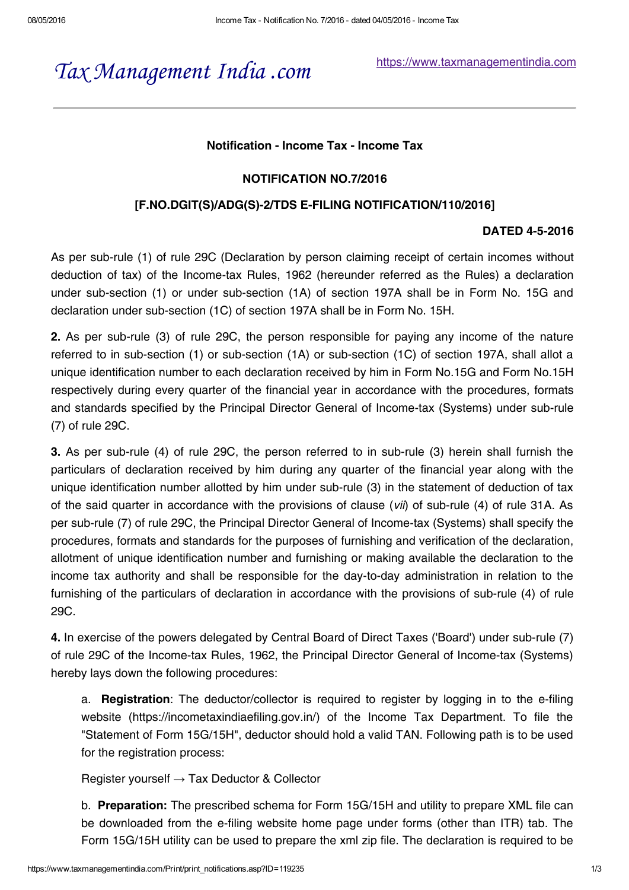# *Tax [Management](https://www.taxmanagementindia.com/) India .com*

[https://www.taxmanagementindia.com](https://www.taxmanagementindia.com/)

### Notification - Income Tax - Income Tax

### NOTIFICATION NO.7/2016

### [F.NO.DGIT(S)/ADG(S)-2/TDS E-FILING NOTIFICATION/110/2016]

### DATED 4-5-2016

As per sub-rule (1) of rule 29C (Declaration by person claiming receipt of certain incomes without deduction of tax) of the Income-tax Rules, 1962 (hereunder referred as the Rules) a declaration under sub-section (1) or under sub-section (1A) of section 197A shall be in Form No. 15G and declaration under sub-section (1C) of section 197A shall be in Form No. 15H.

2. As per sub-rule (3) of rule 29C, the person responsible for paying any income of the nature referred to in sub-section (1) or sub-section (1A) or sub-section (1C) of section 197A, shall allot a unique identification number to each declaration received by him in Form No.15G and Form No.15H respectively during every quarter of the financial year in accordance with the procedures, formats and standards specified by the Principal Director General of Income-tax (Systems) under sub-rule (7) of rule 29C.

3. As per sub-rule (4) of rule 29C, the person referred to in sub-rule (3) herein shall furnish the particulars of declaration received by him during any quarter of the financial year along with the unique identification number allotted by him under sub-rule (3) in the statement of deduction of tax of the said quarter in accordance with the provisions of clause (*vii*) of sub-rule (4) of rule 31A. As per sub-rule (7) of rule 29C, the Principal Director General of Income-tax (Systems) shall specify the procedures, formats and standards for the purposes of furnishing and verification of the declaration, allotment of unique identification number and furnishing or making available the declaration to the income tax authority and shall be responsible for the day-to-day administration in relation to the furnishing of the particulars of declaration in accordance with the provisions of sub-rule (4) of rule 29C.

4. In exercise of the powers delegated by Central Board of Direct Taxes ('Board') under sub-rule (7) of rule 29C of the Income-tax Rules, 1962, the Principal Director General of Income-tax (Systems) hereby lays down the following procedures:

a. **Registration**: The deductor/collector is required to register by logging in to the e-filing website (https://incometaxindiaefiling.gov.in/) of the Income Tax Department. To file the "Statement of Form 15G/15H", deductor should hold a valid TAN. Following path is to be used for the registration process:

Register yourself  $\rightarrow$  Tax Deductor & Collector

b. Preparation: The prescribed schema for Form 15G/15H and utility to prepare XML file can be downloaded from the e-filing website home page under forms (other than ITR) tab. The Form 15G/15H utility can be used to prepare the xml zip file. The declaration is required to be